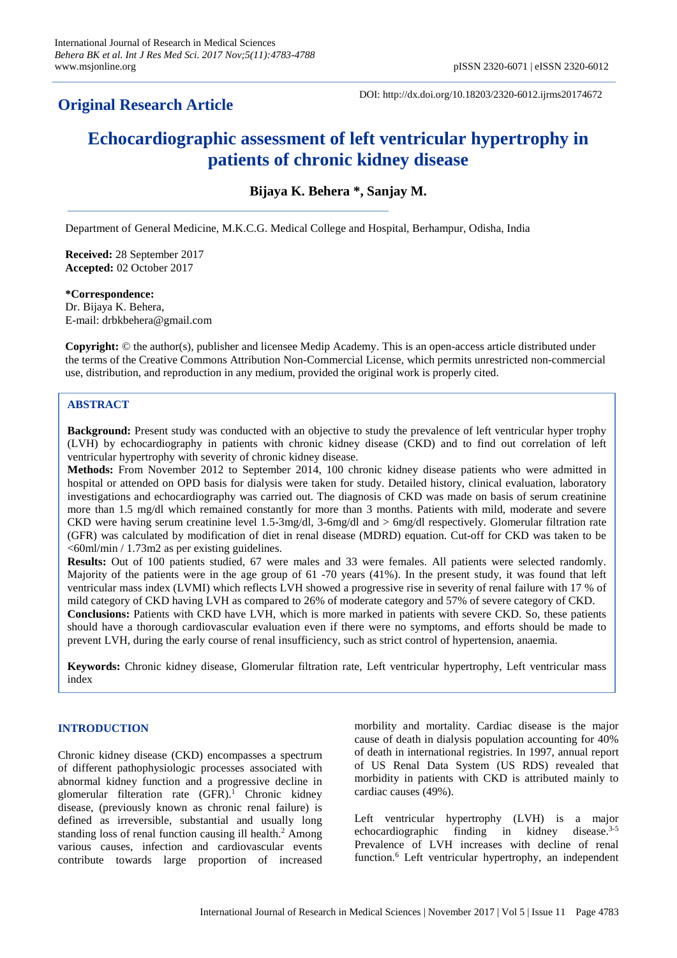# **Original Research Article**

DOI: http://dx.doi.org/10.18203/2320-6012.ijrms20174672

# **Echocardiographic assessment of left ventricular hypertrophy in patients of chronic kidney disease**

**Bijaya K. Behera \*, Sanjay M.**

Department of General Medicine, M.K.C.G. Medical College and Hospital, Berhampur, Odisha, India

**Received:** 28 September 2017 **Accepted:** 02 October 2017

**\*Correspondence:** Dr. Bijaya K. Behera, E-mail: drbkbehera@gmail.com

**Copyright:** © the author(s), publisher and licensee Medip Academy. This is an open-access article distributed under the terms of the Creative Commons Attribution Non-Commercial License, which permits unrestricted non-commercial use, distribution, and reproduction in any medium, provided the original work is properly cited.

# **ABSTRACT**

**Background:** Present study was conducted with an objective to study the prevalence of left ventricular hyper trophy (LVH) by echocardiography in patients with chronic kidney disease (CKD) and to find out correlation of left ventricular hypertrophy with severity of chronic kidney disease.

**Methods:** From November 2012 to September 2014, 100 chronic kidney disease patients who were admitted in hospital or attended on OPD basis for dialysis were taken for study. Detailed history, clinical evaluation, laboratory investigations and echocardiography was carried out. The diagnosis of CKD was made on basis of serum creatinine more than 1.5 mg/dl which remained constantly for more than 3 months. Patients with mild, moderate and severe CKD were having serum creatinine level 1.5-3mg/dl, 3-6mg/dl and > 6mg/dl respectively. Glomerular filtration rate (GFR) was calculated by modification of diet in renal disease (MDRD) equation. Cut-off for CKD was taken to be <60ml/min / 1.73m2 as per existing guidelines.

**Results:** Out of 100 patients studied, 67 were males and 33 were females. All patients were selected randomly. Majority of the patients were in the age group of 61 -70 years (41%). In the present study, it was found that left ventricular mass index (LVMI) which reflects LVH showed a progressive rise in severity of renal failure with 17 % of mild category of CKD having LVH as compared to 26% of moderate category and 57% of severe category of CKD. **Conclusions:** Patients with CKD have LVH, which is more marked in patients with severe CKD. So, these patients should have a thorough cardiovascular evaluation even if there were no symptoms, and efforts should be made to prevent LVH, during the early course of renal insufficiency, such as strict control of hypertension, anaemia.

**Keywords:** Chronic kidney disease, Glomerular filtration rate, Left ventricular hypertrophy, Left ventricular mass index

# **INTRODUCTION**

Chronic kidney disease (CKD) encompasses a spectrum of different pathophysiologic processes associated with abnormal kidney function and a progressive decline in glomerular filteration rate (GFR). <sup>1</sup> Chronic kidney disease, (previously known as chronic renal failure) is defined as irreversible, substantial and usually long standing loss of renal function causing ill health.<sup>2</sup> Among various causes, infection and cardiovascular events contribute towards large proportion of increased morbility and mortality. Cardiac disease is the major cause of death in dialysis population accounting for 40% of death in international registries. In 1997, annual report of US Renal Data System (US RDS) revealed that morbidity in patients with CKD is attributed mainly to cardiac causes (49%).

Left ventricular hypertrophy (LVH) is a major echocardiographic finding in kidney disease.3-5 Prevalence of LVH increases with decline of renal function.<sup>6</sup> Left ventricular hypertrophy, an independent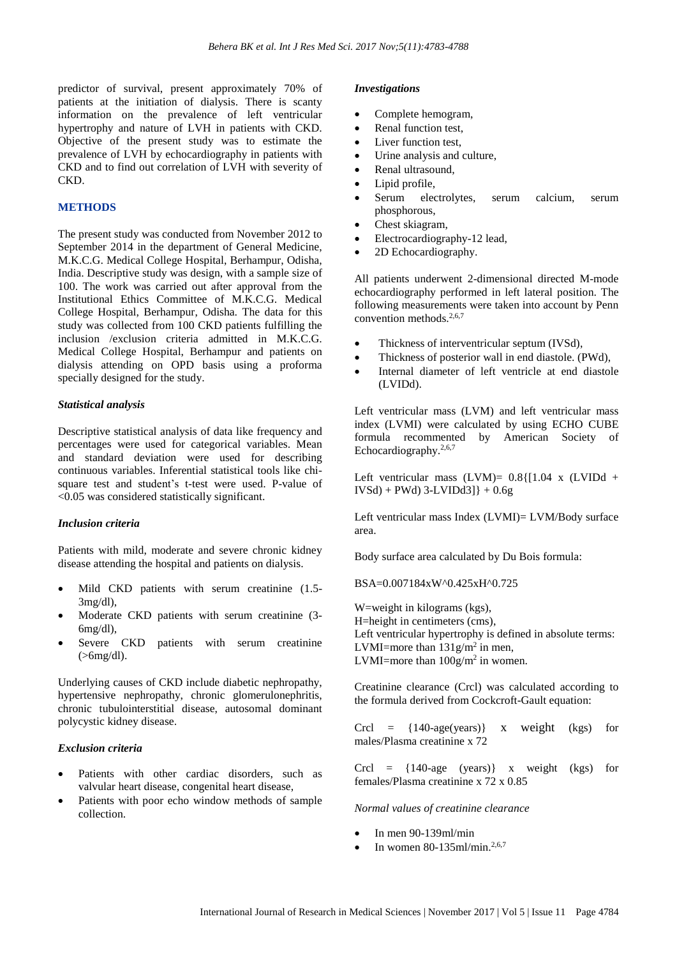predictor of survival, present approximately 70% of patients at the initiation of dialysis. There is scanty information on the prevalence of left ventricular hypertrophy and nature of LVH in patients with CKD. Objective of the present study was to estimate the prevalence of LVH by echocardiography in patients with CKD and to find out correlation of LVH with severity of CKD.

#### **METHODS**

The present study was conducted from November 2012 to September 2014 in the department of General Medicine, M.K.C.G. Medical College Hospital, Berhampur, Odisha, India. Descriptive study was design, with a sample size of 100. The work was carried out after approval from the Institutional Ethics Committee of M.K.C.G. Medical College Hospital, Berhampur, Odisha. The data for this study was collected from 100 CKD patients fulfilling the inclusion /exclusion criteria admitted in M.K.C.G. Medical College Hospital, Berhampur and patients on dialysis attending on OPD basis using a proforma specially designed for the study.

#### *Statistical analysis*

Descriptive statistical analysis of data like frequency and percentages were used for categorical variables. Mean and standard deviation were used for describing continuous variables. Inferential statistical tools like chisquare test and student's t-test were used. P-value of <0.05 was considered statistically significant.

#### *Inclusion criteria*

Patients with mild, moderate and severe chronic kidney disease attending the hospital and patients on dialysis.

- Mild CKD patients with serum creatinine (1.5-3mg/dl),
- Moderate CKD patients with serum creatinine (3- 6mg/dl),
- Severe CKD patients with serum creatinine  $(>\,6$ mg/dl).

Underlying causes of CKD include diabetic nephropathy, hypertensive nephropathy, chronic glomerulonephritis, chronic tubulointerstitial disease, autosomal dominant polycystic kidney disease.

#### *Exclusion criteria*

- Patients with other cardiac disorders, such as valvular heart disease, congenital heart disease,
- Patients with poor echo window methods of sample collection.

#### *Investigations*

- Complete hemogram,
- Renal function test,
- Liver function test,
- Urine analysis and culture,
- Renal ultrasound.
- Lipid profile,
- Serum electrolytes, serum calcium, serum phosphorous,
- Chest skiagram,
- Electrocardiography-12 lead,
- 2D Echocardiography.

All patients underwent 2-dimensional directed M-mode echocardiography performed in left lateral position. The following measurements were taken into account by Penn convention methods. 2,6,7

- Thickness of interventricular septum (IVSd),
- Thickness of posterior wall in end diastole. (PWd),
- Internal diameter of left ventricle at end diastole (LVIDd).

Left ventricular mass (LVM) and left ventricular mass index (LVMI) were calculated by using ECHO CUBE formula recommented by American Society of Echocardiography.2,6,7

Left ventricular mass  $(LVM) = 0.8$ {[1.04 x  $(LVIDA +$  $IVSd) + PWd$  3-LVIDd3]  $+ 0.6g$ 

Left ventricular mass Index (LVMI)= LVM/Body surface area.

Body surface area calculated by Du Bois formula:

BSA=0.007184xW^0.425xH^0.725

W=weight in kilograms (kgs), H=height in centimeters (cms), Left ventricular hypertrophy is defined in absolute terms: LVMI=more than  $131g/m^2$  in men, LVMI=more than  $100g/m^2$  in women.

Creatinine clearance (Crcl) was calculated according to the formula derived from Cockcroft-Gault equation:

Crcl =  $\{140\text{-age}(years)\}\$  x weight (kgs) for males/Plasma creatinine x 72

Crcl =  $\{140\text{-age} \text{ (years)}\}$  x weight (kgs) for females/Plasma creatinine x 72 x 0.85

*Normal values of creatinine clearance*

- In men 90-139ml/min
- In women  $80-135$ ml/min.<sup>2,6,7</sup>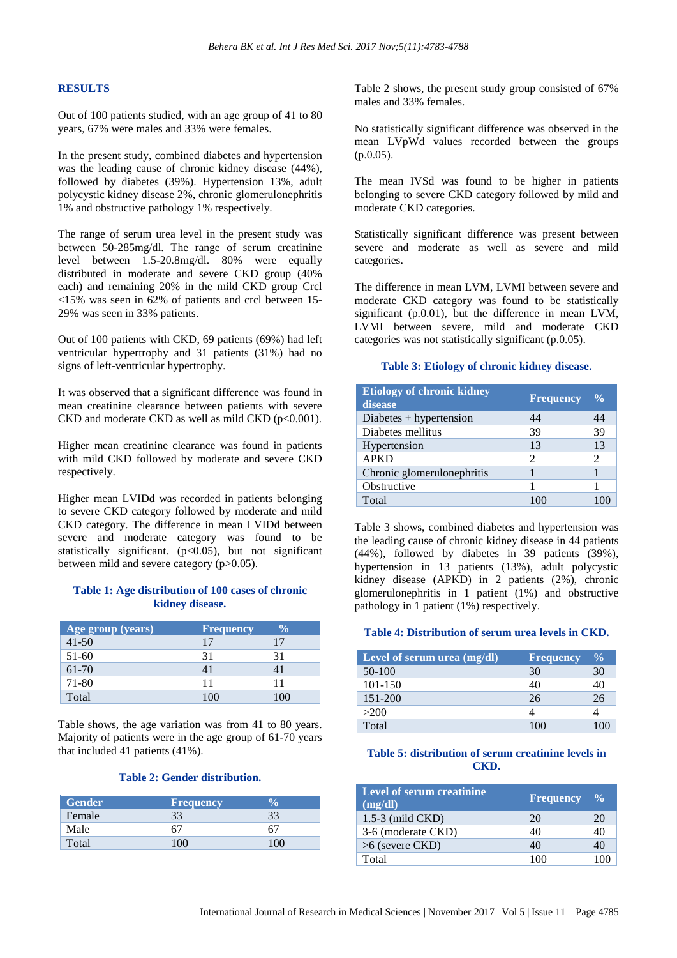### **RESULTS**

Out of 100 patients studied, with an age group of 41 to 80 years, 67% were males and 33% were females.

In the present study, combined diabetes and hypertension was the leading cause of chronic kidney disease (44%), followed by diabetes (39%). Hypertension 13%, adult polycystic kidney disease 2%, chronic glomerulonephritis 1% and obstructive pathology 1% respectively.

The range of serum urea level in the present study was between 50-285mg/dl. The range of serum creatinine level between 1.5-20.8mg/dl. 80% were equally distributed in moderate and severe CKD group (40% each) and remaining 20% in the mild CKD group Crcl <15% was seen in 62% of patients and crcl between 15- 29% was seen in 33% patients.

Out of 100 patients with CKD, 69 patients (69%) had left ventricular hypertrophy and 31 patients (31%) had no signs of left-ventricular hypertrophy.

It was observed that a significant difference was found in mean creatinine clearance between patients with severe CKD and moderate CKD as well as mild CKD  $(p<0.001)$ .

Higher mean creatinine clearance was found in patients with mild CKD followed by moderate and severe CKD respectively.

Higher mean LVIDd was recorded in patients belonging to severe CKD category followed by moderate and mild CKD category. The difference in mean LVIDd between severe and moderate category was found to be statistically significant.  $(p<0.05)$ , but not significant between mild and severe category (p>0.05).

# **Table 1: Age distribution of 100 cases of chronic kidney disease.**

| Age group (years) | <b>Frequency</b> | $\frac{0}{0}$ |
|-------------------|------------------|---------------|
| $41 - 50$         | 17               | 17            |
| $51-60$           | 31               | 31            |
| $61 - 70$         | 41               | 41            |
| 71-80             | 11               | 11            |
| Total             |                  |               |

Table shows, the age variation was from 41 to 80 years. Majority of patients were in the age group of 61-70 years that included 41 patients (41%).

# **Table 2: Gender distribution.**

| <b>Gender</b> | <b>Frequency</b> | 'n |
|---------------|------------------|----|
| Female        | 33               | 33 |
| Male          |                  |    |
| Total         |                  |    |

Table 2 shows, the present study group consisted of 67% males and 33% females.

No statistically significant difference was observed in the mean LVpWd values recorded between the groups (p.0.05).

The mean IVSd was found to be higher in patients belonging to severe CKD category followed by mild and moderate CKD categories.

Statistically significant difference was present between severe and moderate as well as severe and mild categories.

The difference in mean LVM, LVMI between severe and moderate CKD category was found to be statistically significant (p.0.01), but the difference in mean LVM, LVMI between severe, mild and moderate CKD categories was not statistically significant (p.0.05).

#### **Table 3: Etiology of chronic kidney disease.**

| <b>Etiology of chronic kidney</b><br>disease | <b>Frequency</b> | $\frac{0}{0}$ |
|----------------------------------------------|------------------|---------------|
| $Diabetes + hypertension$                    | 44               | 44            |
| Diabetes mellitus                            | 39               | 39            |
| Hypertension                                 | 13               | 13            |
| <b>APKD</b>                                  | 2                |               |
| Chronic glomerulonephritis                   |                  |               |
| Obstructive                                  |                  |               |
| Total                                        |                  |               |

Table 3 shows, combined diabetes and hypertension was the leading cause of chronic kidney disease in 44 patients (44%), followed by diabetes in 39 patients (39%), hypertension in 13 patients (13%), adult polycystic kidney disease (APKD) in 2 patients (2%), chronic glomerulonephritis in 1 patient (1%) and obstructive pathology in 1 patient (1%) respectively.

#### **Table 4: Distribution of serum urea levels in CKD.**

| Level of serum urea (mg/dl) | <b>Frequency</b> | $\frac{6}{10}$ |
|-----------------------------|------------------|----------------|
| 50-100                      | 30               | 30             |
| $101 - 150$                 | 40               | 40             |
| 151-200                     | 26               | 26             |
| >200                        |                  |                |
| Total                       |                  |                |

# **Table 5: distribution of serum creatinine levels in CKD.**

| <b>Level of serum creatinine</b><br>(mg/dl) | Frequency | $\frac{6}{9}$ |
|---------------------------------------------|-----------|---------------|
| $1.5-3$ (mild CKD)                          | 20        | 20            |
| 3-6 (moderate CKD)                          | 40        | 40            |
| $>6$ (severe CKD)                           | 40        | 40            |
| Total                                       | 100       |               |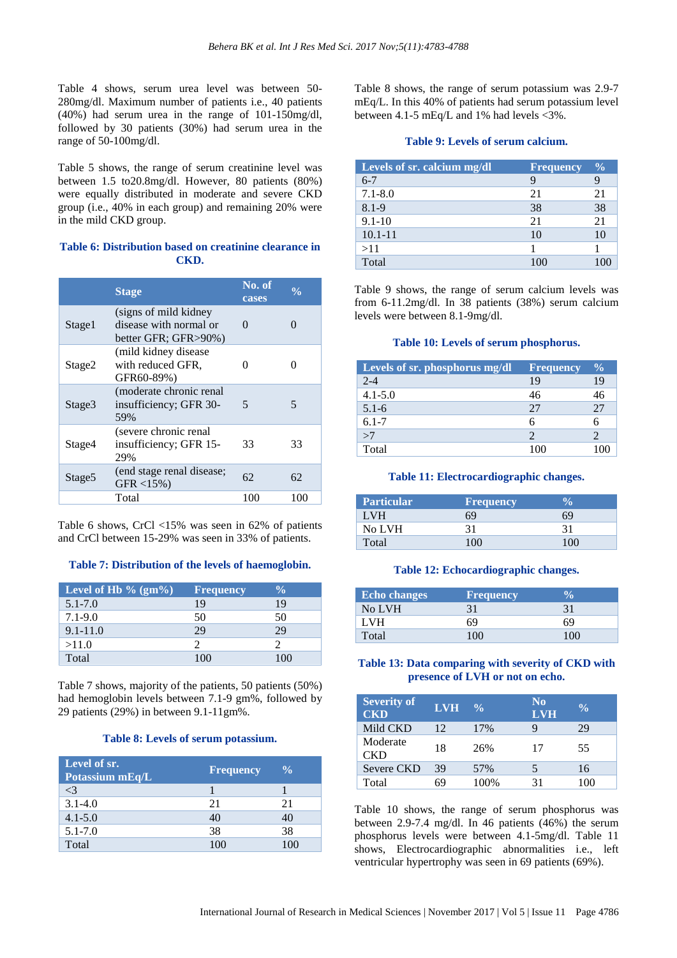Table 4 shows, serum urea level was between 50- 280mg/dl. Maximum number of patients i.e., 40 patients (40%) had serum urea in the range of 101-150mg/dl, followed by 30 patients (30%) had serum urea in the range of 50-100mg/dl.

Table 5 shows, the range of serum creatinine level was between 1.5 to20.8mg/dl. However, 80 patients (80%) were equally distributed in moderate and severe CKD group (i.e., 40% in each group) and remaining 20% were in the mild CKD group.

# **Table 6: Distribution based on creatinine clearance in CKD.**

|                    | <b>Stage</b>                                                             | No. of<br>cases | $\frac{0}{0}$     |
|--------------------|--------------------------------------------------------------------------|-----------------|-------------------|
| Stage1             | (signs of mild kidney)<br>disease with normal or<br>better GFR; GFR>90%) | $\mathbf{0}$    | $\mathbf{\Omega}$ |
| Stage2             | (mild kidney disease)<br>with reduced GFR,<br>GFR60-89%)                 |                 |                   |
| Stage3             | (moderate chronic renal)<br>insufficiency; GFR 30-<br>59%                | 5               | 5                 |
| Stage4             | (severe chronic renal<br>insufficiency; GFR 15-<br>29%                   | 33              | 33                |
| Stage <sub>5</sub> | (end stage renal disease;<br>$GFR < 15\%$ )                              | 62              | 62                |
|                    | Total                                                                    | 100             | 100               |

Table 6 shows, CrCl <15% was seen in 62% of patients and CrCl between 15-29% was seen in 33% of patients.

# **Table 7: Distribution of the levels of haemoglobin.**

| Level of Hb $\%$ (gm $\%$ ) | <b>Frequency</b> | $\frac{0}{0}$ |
|-----------------------------|------------------|---------------|
| $5.1 - 7.0$                 | 19               | 19            |
| $7.1 - 9.0$                 | 50               | 50            |
| $9.1 - 11.0$                | 29               | 29            |
| >11.0                       |                  |               |
| Total                       | 100              | LOO           |

Table 7 shows, majority of the patients, 50 patients (50%) had hemoglobin levels between 7.1-9 gm%, followed by 29 patients (29%) in between 9.1-11gm%.

#### **Table 8: Levels of serum potassium.**

| Level of sr.<br>Potassium mEq/L | <b>Frequency</b> | $\frac{0}{0}$ |
|---------------------------------|------------------|---------------|
| <3                              |                  |               |
| $3.1 - 4.0$                     | 21               | 21            |
| $4.1 - 5.0$                     | 40               | 40            |
| $5.1 - 7.0$                     | 38               | 38            |
| Total                           | 100              | 100           |

Table 8 shows, the range of serum potassium was 2.9-7 mEq/L. In this 40% of patients had serum potassium level between 4.1-5 mEq/L and 1% had levels <3%.

# **Table 9: Levels of serum calcium.**

| Levels of sr. calcium mg/dl | <b>Frequency</b> | $\frac{0}{0}$ |
|-----------------------------|------------------|---------------|
| $6 - 7$                     | 9                |               |
| $7.1 - 8.0$                 | 21               | 21            |
| $8.1 - 9$                   | 38               | 38            |
| $9.1 - 10$                  | 21               | 21            |
| $10.1 - 11$                 | 10               | 10            |
| >11                         |                  |               |
| Total                       |                  |               |

Table 9 shows, the range of serum calcium levels was from 6-11.2mg/dl. In 38 patients (38%) serum calcium levels were between 8.1-9mg/dl.

# **Table 10: Levels of serum phosphorus.**

| Levels of sr. phosphorus mg/dl | <b>Frequency</b> | $\frac{0}{0}$ |
|--------------------------------|------------------|---------------|
| $2 - 4$                        | 19               | 19            |
| $4.1 - 5.0$                    | 46               | 46            |
| $5.1 - 6$                      | 27               | 27            |
| $6.1 - 7$                      |                  |               |
| >7                             |                  |               |
| Total                          |                  |               |

#### **Table 11: Electrocardiographic changes.**

| <b>Particular</b> | <b>Frequency</b> | n    |
|-------------------|------------------|------|
| I VH              | 69               | 69   |
| No LVH            | 31               | 31   |
| Total             | 100.             | 100. |

#### **Table 12: Echocardiographic changes.**

| <b>Echo changes</b> | <b>Frequency</b> |     |
|---------------------|------------------|-----|
| No LVH              |                  | 31  |
| I VH                |                  | 69  |
| Total               |                  | 100 |

# **Table 13: Data comparing with severity of CKD with presence of LVH or not on echo.**

| <b>Severity of</b><br><b>CKD</b> | <b>LVH</b> | $\frac{0}{0}$ | N <sub>0</sub><br><b>LVH</b> | $\frac{0}{0}$ |
|----------------------------------|------------|---------------|------------------------------|---------------|
| Mild CKD                         | 12         | 17%           | Q                            | 29            |
| Moderate<br><b>CKD</b>           | 18         | 26%           | 17                           | 55            |
| Severe CKD                       | 39         | 57%           | 5                            | 16            |
| Total                            | 69         | 100%          | 31                           | 100           |

Table 10 shows, the range of serum phosphorus was between 2.9-7.4 mg/dl. In 46 patients (46%) the serum phosphorus levels were between 4.1-5mg/dl. Table 11 shows, Electrocardiographic abnormalities i.e., left ventricular hypertrophy was seen in 69 patients (69%).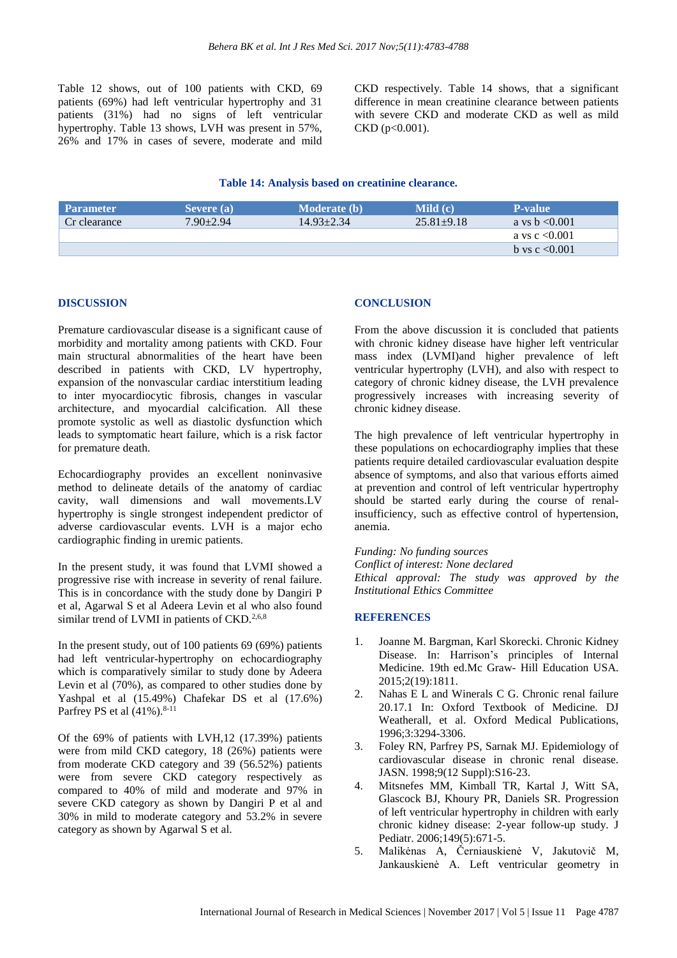Table 12 shows, out of 100 patients with CKD, 69 patients (69%) had left ventricular hypertrophy and 31 patients (31%) had no signs of left ventricular hypertrophy. Table 13 shows, LVH was present in 57%, 26% and 17% in cases of severe, moderate and mild CKD respectively. Table 14 shows, that a significant difference in mean creatinine clearance between patients with severe CKD and moderate CKD as well as mild CKD (p<0.001).

# **Table 14: Analysis based on creatinine clearance.**

| <b>Parameter</b> | Severe (a)      | <b>Moderate</b> (b) | <b>Mild</b> $(c)$ | <b>P-value</b>   |
|------------------|-----------------|---------------------|-------------------|------------------|
| Cr clearance     | $7.90 \pm 2.94$ | $14.93 + 2.34$      | $25.81 + 9.18$    | a ys $b < 0.001$ |
|                  |                 |                     |                   | a vs c $< 0.001$ |
|                  |                 |                     |                   | b vs c $< 0.001$ |

#### **DISCUSSION**

Premature cardiovascular disease is a significant cause of morbidity and mortality among patients with CKD. Four main structural abnormalities of the heart have been described in patients with CKD, LV hypertrophy, expansion of the nonvascular cardiac interstitium leading to inter myocardiocytic fibrosis, changes in vascular architecture, and myocardial calcification. All these promote systolic as well as diastolic dysfunction which leads to symptomatic heart failure, which is a risk factor for premature death.

Echocardiography provides an excellent noninvasive method to delineate details of the anatomy of cardiac cavity, wall dimensions and wall movements.LV hypertrophy is single strongest independent predictor of adverse cardiovascular events. LVH is a major echo cardiographic finding in uremic patients.

In the present study, it was found that LVMI showed a progressive rise with increase in severity of renal failure. This is in concordance with the study done by Dangiri P et al, Agarwal S et al Adeera Levin et al who also found similar trend of LVMI in patients of CKD.<sup>2,6,8</sup>

In the present study, out of 100 patients 69 (69%) patients had left ventricular-hypertrophy on echocardiography which is comparatively similar to study done by Adeera Levin et al (70%), as compared to other studies done by Yashpal et al (15.49%) Chafekar DS et al (17.6%) Parfrey PS et al  $(41\%)$ .<sup>8-11</sup>

Of the 69% of patients with LVH,12 (17.39%) patients were from mild CKD category, 18 (26%) patients were from moderate CKD category and 39 (56.52%) patients were from severe CKD category respectively as compared to 40% of mild and moderate and 97% in severe CKD category as shown by Dangiri P et al and 30% in mild to moderate category and 53.2% in severe category as shown by Agarwal S et al.

# **CONCLUSION**

From the above discussion it is concluded that patients with chronic kidney disease have higher left ventricular mass index (LVMI)and higher prevalence of left ventricular hypertrophy (LVH), and also with respect to category of chronic kidney disease, the LVH prevalence progressively increases with increasing severity of chronic kidney disease.

The high prevalence of left ventricular hypertrophy in these populations on echocardiography implies that these patients require detailed cardiovascular evaluation despite absence of symptoms, and also that various efforts aimed at prevention and control of left ventricular hypertrophy should be started early during the course of renalinsufficiency, such as effective control of hypertension, anemia.

#### *Funding: No funding sources*

*Conflict of interest: None declared Ethical approval: The study was approved by the Institutional Ethics Committee*

#### **REFERENCES**

- 1. Joanne M. Bargman, Karl Skorecki. Chronic Kidney Disease. In: Harrison's principles of Internal Medicine. 19th ed.Mc Graw- Hill Education USA. 2015;2(19):1811.
- 2. Nahas E L and Winerals C G. Chronic renal failure 20.17.1 In: Oxford Textbook of Medicine. DJ Weatherall, et al. Oxford Medical Publications, 1996;3:3294-3306.
- 3. Foley RN, Parfrey PS, Sarnak MJ. Epidemiology of cardiovascular disease in chronic renal disease. JASN. 1998;9(12 Suppl):S16-23.
- 4. Mitsnefes MM, Kimball TR, Kartal J, Witt SA, Glascock BJ, Khoury PR, Daniels SR. Progression of left ventricular hypertrophy in children with early chronic kidney disease: 2-year follow-up study. J Pediatr. 2006;149(5):671-5.
- 5. Malikėnas A, Černiauskienė V, Jakutovič M, Jankauskienė A. Left ventricular geometry in